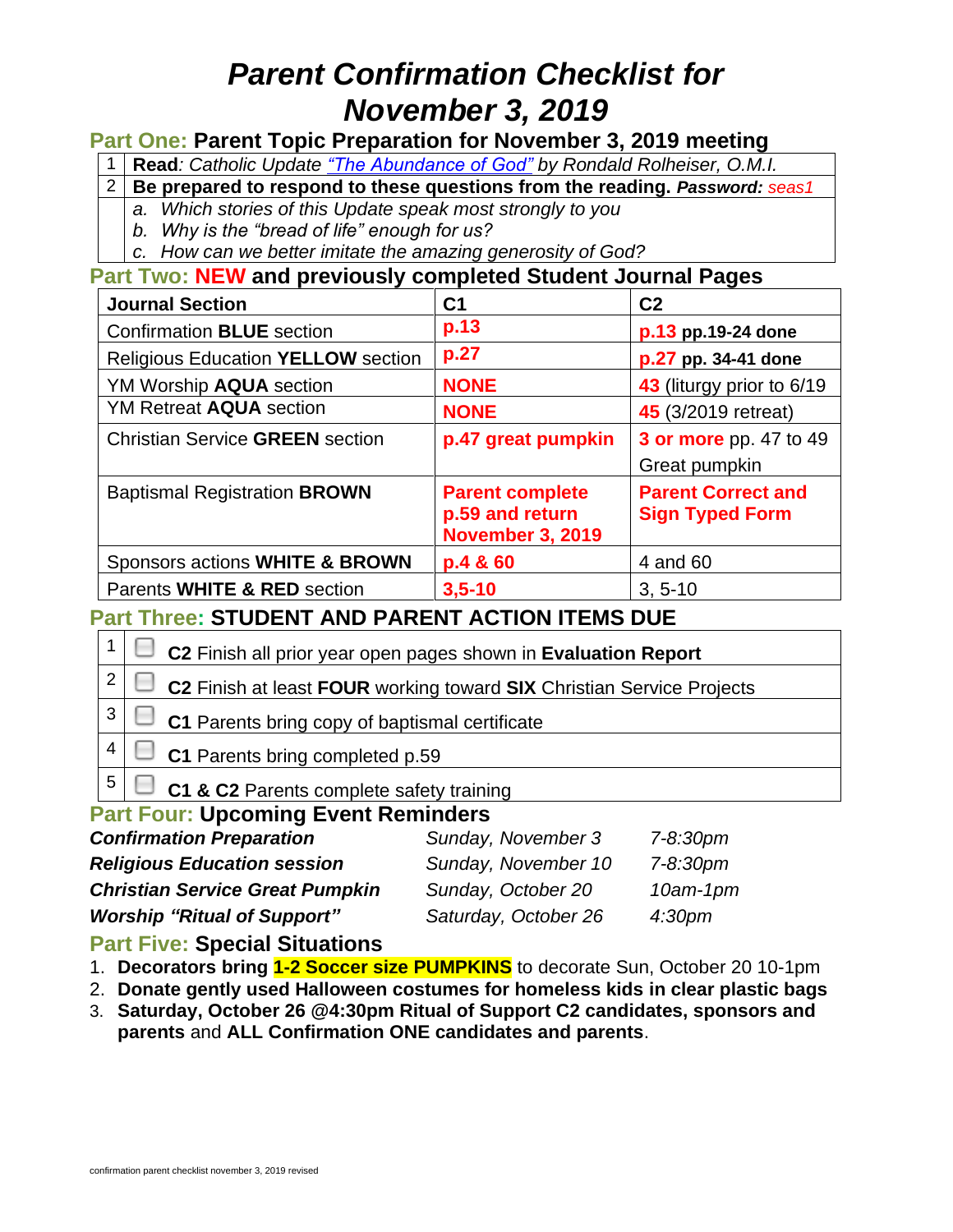# *Parent Confirmation Checklist for November 3, 2019*

### **Part One: Parent Topic Preparation for November 3, 2019 meeting**

1 **Read***: Catholic Update ["The Abundance of God"](http://www.seasirvine.org/wp-content/uploads/2019/10/The-Abundance-of-God.pdf) by Rondald Rolheiser, O.M.I.*

2 **Be prepared to respond to these questions from the reading.** *Password: seas1*

- *a. Which stories of this Update speak most strongly to you*
- *b. Why is the "bread of life" enough for us?*
- *c. How can we better imitate the amazing generosity of God?*

**Part Two: NEW and previously completed Student Journal Pages** 

| <b>Journal Section</b>                    | C1                                                                   | C <sub>2</sub>                                      |  |
|-------------------------------------------|----------------------------------------------------------------------|-----------------------------------------------------|--|
| <b>Confirmation BLUE</b> section          | p.13                                                                 | p.13 pp.19-24 done                                  |  |
| <b>Religious Education YELLOW section</b> | p.27                                                                 | p.27 pp. 34-41 done                                 |  |
| YM Worship <b>AQUA</b> section            | <b>NONE</b>                                                          | 43 (liturgy prior to 6/19)                          |  |
| <b>YM Retreat AQUA section</b>            | <b>NONE</b>                                                          | <b>45</b> (3/2019 retreat)                          |  |
| <b>Christian Service GREEN section</b>    | p.47 great pumpkin                                                   | <b>3 or more</b> pp. 47 to 49                       |  |
|                                           |                                                                      | Great pumpkin                                       |  |
| <b>Baptismal Registration BROWN</b>       | <b>Parent complete</b><br>p.59 and return<br><b>November 3, 2019</b> | <b>Parent Correct and</b><br><b>Sign Typed Form</b> |  |
| Sponsors actions WHITE & BROWN            | p.4 & 60                                                             | 4 and 60                                            |  |
| Parents WHITE & RED section               | $3,5 - 10$                                                           | $3, 5-10$                                           |  |

### **Part Three: STUDENT AND PARENT ACTION ITEMS DUE**

| $1 \mid \Box$ C2 Finish all prior year open pages shown in Evaluation Report        |  |
|-------------------------------------------------------------------------------------|--|
| $2 \mid \Box$ C2 Finish at least FOUR working toward SIX Christian Service Projects |  |
| $3 \mid \Box$ C1 Parents bring copy of baptismal certificate                        |  |

**C1** Parents bring completed p.59

**C1 & C2** Parents complete safety training

### **Part Four: Upcoming Event Reminders**

| <b>Confirmation Preparation</b>        | Sunday, November 3   | 7-8:30pm           |
|----------------------------------------|----------------------|--------------------|
| <b>Religious Education session</b>     | Sunday, November 10  | 7-8:30pm           |
| <b>Christian Service Great Pumpkin</b> | Sunday, October 20   | $10$ am- $1$ pm    |
| <b>Worship "Ritual of Support"</b>     | Saturday, October 26 | 4:30 <sub>pm</sub> |

### **Part Five: Special Situations**

4

5

- 1. **Decorators bring 1-2 Soccer size PUMPKINS** to decorate Sun, October 20 10-1pm
- 2. **Donate gently used Halloween costumes for homeless kids in clear plastic bags**
- 3. **Saturday, October 26 @4:30pm Ritual of Support C2 candidates, sponsors and parents** and **ALL Confirmation ONE candidates and parents**.